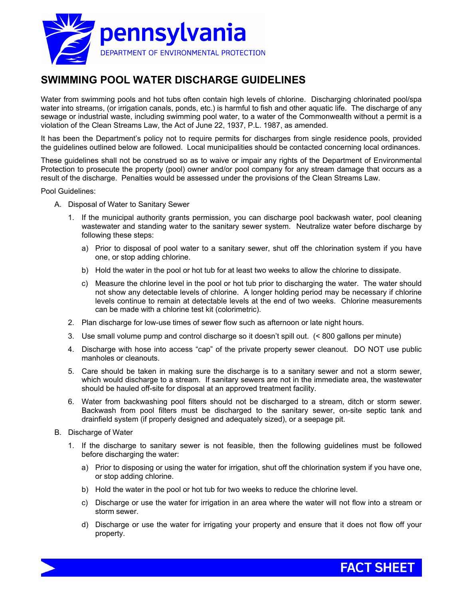

## **SWIMMING POOL WATER DISCHARGE GUIDELINES**

Water from swimming pools and hot tubs often contain high levels of chlorine. Discharging chlorinated pool/spa water into streams, (or irrigation canals, ponds, etc.) is harmful to fish and other aquatic life. The discharge of any sewage or industrial waste, including swimming pool water, to a water of the Commonwealth without a permit is a violation of the Clean Streams Law, the Act of June 22, 1937, P.L. 1987, as amended.

It has been the Department's policy not to require permits for discharges from single residence pools, provided the guidelines outlined below are followed. Local municipalities should be contacted concerning local ordinances.

These guidelines shall not be construed so as to waive or impair any rights of the Department of Environmental Protection to prosecute the property (pool) owner and/or pool company for any stream damage that occurs as a result of the discharge. Penalties would be assessed under the provisions of the Clean Streams Law.

Pool Guidelines:

- A. Disposal of Water to Sanitary Sewer
	- 1. If the municipal authority grants permission, you can discharge pool backwash water, pool cleaning wastewater and standing water to the sanitary sewer system. Neutralize water before discharge by following these steps:
		- a) Prior to disposal of pool water to a sanitary sewer, shut off the chlorination system if you have one, or stop adding chlorine.
		- b) Hold the water in the pool or hot tub for at least two weeks to allow the chlorine to dissipate.
		- c) Measure the chlorine level in the pool or hot tub prior to discharging the water. The water should not show any detectable levels of chlorine. A longer holding period may be necessary if chlorine levels continue to remain at detectable levels at the end of two weeks. Chlorine measurements can be made with a chlorine test kit (colorimetric).
	- 2. Plan discharge for low-use times of sewer flow such as afternoon or late night hours.
	- 3. Use small volume pump and control discharge so it doesn't spill out. (< 800 gallons per minute)
	- 4. Discharge with hose into access "cap" of the private property sewer cleanout. DO NOT use public manholes or cleanouts.
	- 5. Care should be taken in making sure the discharge is to a sanitary sewer and not a storm sewer, which would discharge to a stream. If sanitary sewers are not in the immediate area, the wastewater should be hauled off-site for disposal at an approved treatment facility.
	- 6. Water from backwashing pool filters should not be discharged to a stream, ditch or storm sewer. Backwash from pool filters must be discharged to the sanitary sewer, on-site septic tank and drainfield system (if properly designed and adequately sized), or a seepage pit.
- B. Discharge of Water
	- 1. If the discharge to sanitary sewer is not feasible, then the following guidelines must be followed before discharging the water:
		- a) Prior to disposing or using the water for irrigation, shut off the chlorination system if you have one, or stop adding chlorine.
		- b) Hold the water in the pool or hot tub for two weeks to reduce the chlorine level.
		- c) Discharge or use the water for irrigation in an area where the water will not flow into a stream or storm sewer.
		- d) Discharge or use the water for irrigating your property and ensure that it does not flow off your property.

**FACT SHEET**